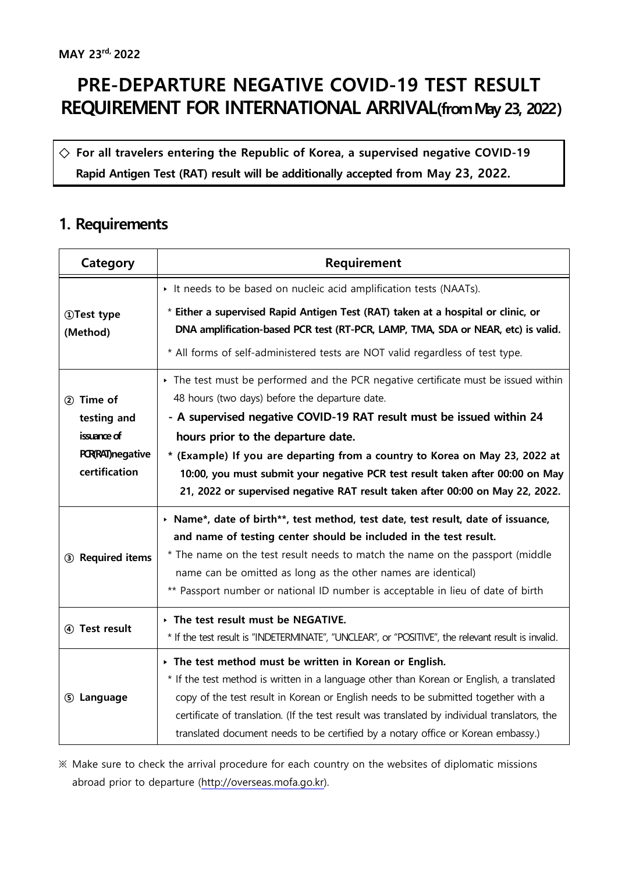## **PRE-DEPARTURE NEGATIVE COVID-19 TEST RESULT REQUIREMENT FOR INTERNATIONAL ARRIVAL(from May 23, 2022)**

**◇ For all travelers entering the Republic of Korea, a supervised negative COVID-19 Rapid Antigen Test (RAT) result will be additionally accepted from May 23, 2022.**

## **1. Requirements**

| Category                                  | Requirement                                                                                                                                                                                                                                                                                                                                            |
|-------------------------------------------|--------------------------------------------------------------------------------------------------------------------------------------------------------------------------------------------------------------------------------------------------------------------------------------------------------------------------------------------------------|
|                                           | It needs to be based on nucleic acid amplification tests (NAATs).                                                                                                                                                                                                                                                                                      |
| <b>1DTest type</b><br>(Method)            | * Either a supervised Rapid Antigen Test (RAT) taken at a hospital or clinic, or<br>DNA amplification-based PCR test (RT-PCR, LAMP, TMA, SDA or NEAR, etc) is valid.                                                                                                                                                                                   |
|                                           | * All forms of self-administered tests are NOT valid regardless of test type.                                                                                                                                                                                                                                                                          |
| 2 Time of                                 | The test must be performed and the PCR negative certificate must be issued within<br>48 hours (two days) before the departure date.                                                                                                                                                                                                                    |
| testing and<br>issuance of                | - A supervised negative COVID-19 RAT result must be issued within 24                                                                                                                                                                                                                                                                                   |
| <b>PCR(RAT)</b> negative<br>certification | hours prior to the departure date.<br>* (Example) If you are departing from a country to Korea on May 23, 2022 at<br>10:00, you must submit your negative PCR test result taken after 00:00 on May<br>21, 2022 or supervised negative RAT result taken after 00:00 on May 22, 2022.                                                                    |
| 3 Required items                          | > Name*, date of birth**, test method, test date, test result, date of issuance,<br>and name of testing center should be included in the test result.                                                                                                                                                                                                  |
|                                           | * The name on the test result needs to match the name on the passport (middle<br>name can be omitted as long as the other names are identical)<br>** Passport number or national ID number is acceptable in lieu of date of birth                                                                                                                      |
| 4 Test result                             | The test result must be NEGATIVE.<br>* If the test result is "INDETERMINATE", "UNCLEAR", or "POSITIVE", the relevant result is invalid.                                                                                                                                                                                                                |
| 5 Language                                | $\rightarrow$ The test method must be written in Korean or English.<br>* If the test method is written in a language other than Korean or English, a translated<br>copy of the test result in Korean or English needs to be submitted together with a<br>certificate of translation. (If the test result was translated by individual translators, the |
|                                           | translated document needs to be certified by a notary office or Korean embassy.)                                                                                                                                                                                                                                                                       |

※ Make sure to check the arrival procedure for each country on the websites of diplomatic missions abroad prior to departure ([http://overseas.mofa.go.kr\)](http://overseas.mofa.go.kr).